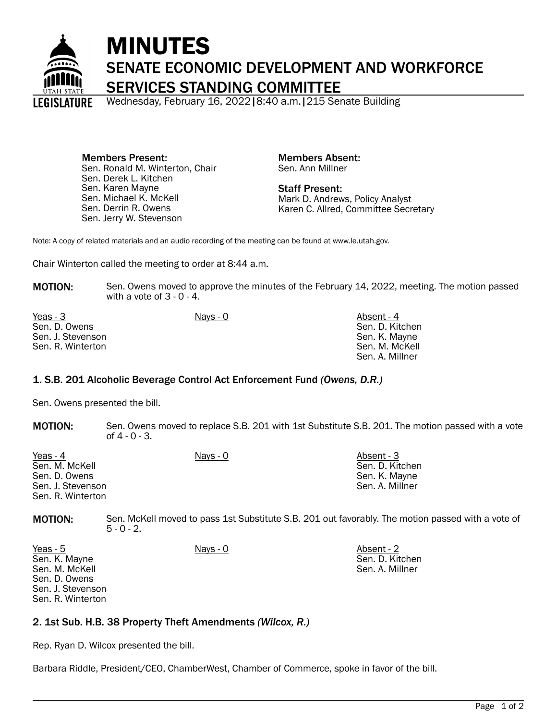

# MINUTES SENATE ECONOMIC DEVELOPMENT AND WORKFORCE SERVICES STANDING COMMITTEE

Wednesday, February 16, 2022|8:40 a.m.|215 Senate Building

Members Present: Sen. Ronald M. Winterton, Chair Sen. Derek L. Kitchen Sen. Karen Mayne Sen. Michael K. McKell Sen. Derrin R. Owens Sen. Jerry W. Stevenson

Members Absent: Sen. Ann Millner

Staff Present: Mark D. Andrews, Policy Analyst Karen C. Allred, Committee Secretary

Note: A copy of related materials and an audio recording of the meeting can be found at www.le.utah.gov.

Chair Winterton called the meeting to order at 8:44 a.m.

MOTION: Sen. Owens moved to approve the minutes of the February 14, 2022, meeting. The motion passed with a vote of 3 - 0 - 4.

| Yeas - 3          | Nays - 0 | Absent - 4      |
|-------------------|----------|-----------------|
| Sen. D. Owens     |          | Sen. D. Kitchen |
| Sen. J. Stevenson |          | Sen. K. Mayne   |
| Sen. R. Winterton |          | Sen. M. McKell  |
|                   |          | Sen. A. Millner |

# 1. S.B. 201 Alcoholic Beverage Control Act Enforcement Fund *(Owens, D.R.)*

Sen. Owens presented the bill.

**MOTION:** Sen. Owens moved to replace S.B. 201 with 1st Substitute S.B. 201. The motion passed with a vote of 4 - 0 - 3.

| Yeas - 4          | Nays - 0 | Absent - 3      |
|-------------------|----------|-----------------|
| Sen. M. McKell    |          | Sen. D. Kitchen |
| Sen. D. Owens     |          | Sen. K. Mayne   |
| Sen. J. Stevenson |          | Sen. A. Millner |
| Sen. R. Winterton |          |                 |

MOTION: Sen. McKell moved to pass 1st Substitute S.B. 201 out favorably. The motion passed with a vote of  $5 - 0 - 2$ .

| Yeas - 5          | Nays - 0 | Absent - 2      |
|-------------------|----------|-----------------|
| Sen. K. Mayne     |          | Sen. D. Kitchen |
| Sen. M. McKell    |          | Sen. A. Millner |
| Sen. D. Owens     |          |                 |
| Sen. J. Stevenson |          |                 |
| Sen. R. Winterton |          |                 |

# 2. 1st Sub. H.B. 38 Property Theft Amendments *(Wilcox, R.)*

Rep. Ryan D. Wilcox presented the bill.

Barbara Riddle, President/CEO, ChamberWest, Chamber of Commerce, spoke in favor of the bill.